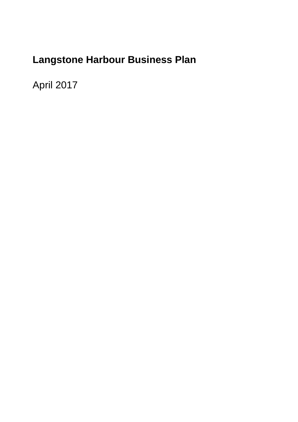# **Langstone Harbour Business Plan**

April 2017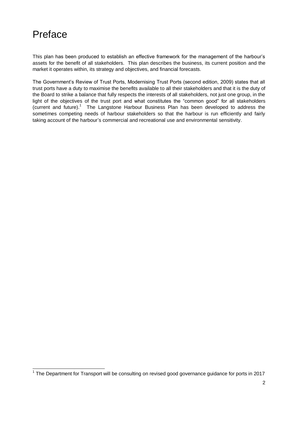## Preface

This plan has been produced to establish an effective framework for the management of the harbour's assets for the benefit of all stakeholders. This plan describes the business, its current position and the market it operates within, its strategy and objectives, and financial forecasts.

The Government's Review of Trust Ports, Modernising Trust Ports (second edition, 2009) states that all trust ports have a duty to maximise the benefits available to all their stakeholders and that it is the duty of the Board to strike a balance that fully respects the interests of all stakeholders, not just one group, in the light of the objectives of the trust port and what constitutes the "common good" for all stakeholders (current and future).<sup>1</sup> The Langstone Harbour Business Plan has been developed to address the sometimes competing needs of harbour stakeholders so that the harbour is run efficiently and fairly taking account of the harbour's commercial and recreational use and environmental sensitivity.

\_\_\_\_\_\_\_\_\_\_\_\_\_\_\_\_\_\_\_\_\_\_\_\_\_\_\_\_\_\_\_\_\_\_\_<br><sup>1</sup> The Department for Transport will be consulting on revised good governance guidance for ports in 2017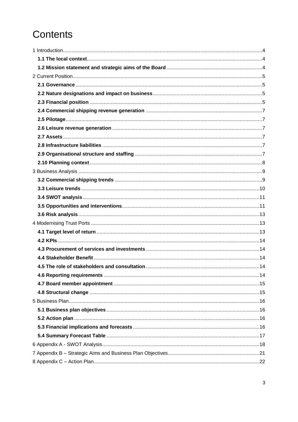# Contents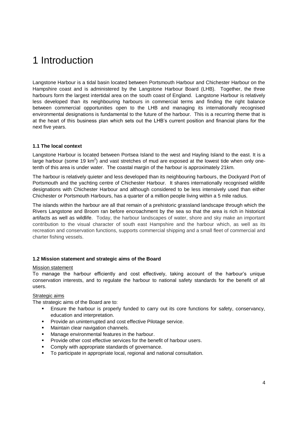## <span id="page-3-0"></span>1 Introduction

Langstone Harbour is a tidal basin located between Portsmouth Harbour and Chichester Harbour on the Hampshire coast and is administered by the Langstone Harbour Board (LHB). Together, the three harbours form the largest intertidal area on the south coast of England. Langstone Harbour is relatively less developed than its neighbouring harbours in commercial terms and finding the right balance between commercial opportunities open to the LHB and managing its internationally recognised environmental designations is fundamental to the future of the harbour. This is a recurring theme that is at the heart of this business plan which sets out the LHB's current position and financial plans for the next five years.

## <span id="page-3-1"></span>**1.1 The local context**

Langstone Harbour is located between Portsea Island to the west and Hayling Island to the east. It is a large harbour (some 19 km<sup>2</sup>) and vast stretches of mud are exposed at the lowest tide when only onetenth of this area is under water. The coastal margin of the harbour is approximately 21km.

The harbour is relatively quieter and less developed than its neighbouring harbours, the Dockyard Port of Portsmouth and the yachting centre of Chichester Harbour. It shares internationally recognised wildlife designations with Chichester Harbour and although considered to be less intensively used than either Chichester or Portsmouth Harbours, has a quarter of a million people living within a 5 mile radius.

The islands within the harbour are all that remain of a prehistoric grassland landscape through which the Rivers Langstone and Broom ran before encroachment by the sea so that the area is rich in historical artifacts as well as wildlife. Today, the harbour landscapes of water, shore and sky make an important contribution to the visual character of south east Hampshire and the harbour which, as well as its recreation and conservation functions, supports commercial shipping and a small fleet of commercial and charter fishing vessels.

### <span id="page-3-2"></span>**1.2 Mission statement and strategic aims of the Board**

#### Mission statement

To manage the harbour efficiently and cost effectively, taking account of the harbour's unique conservation interests, and to regulate the harbour to national safety standards for the benefit of all users.

## Strategic aims

The strategic aims of the Board are to:

- Ensure the harbour is properly funded to carry out its core functions for safety, conservancy, education and interpretation.
- Provide an uninterrupted and cost effective Pilotage service.
- Maintain clear navigation channels.
- Manage environmental features in the harbour.
- Provide other cost effective services for the benefit of harbour users.
- Comply with appropriate standards of governance.
- To participate in appropriate local, regional and national consultation.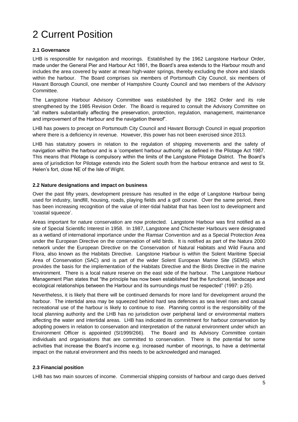## <span id="page-4-0"></span>2 Current Position

## <span id="page-4-1"></span>**2.1 Governance**

LHB is responsible for navigation and moorings. Established by the 1962 Langstone Harbour Order, made under the General Pier and Harbour Act 1861, the Board's area extends to the Harbour mouth and includes the area covered by water at mean high-water springs, thereby excluding the shore and islands within the harbour. The Board comprises six members of Portsmouth City Council, six members of Havant Borough Council, one member of Hampshire County Council and two members of the Advisory Committee.

The Langstone Harbour Advisory Committee was established by the 1962 Order and its role strengthened by the 1985 Revision Order. The Board is required to consult the Advisory Committee on "all matters substantially affecting the preservation, protection, regulation, management, maintenance and improvement of the Harbour and the navigation thereof".

LHB has powers to precept on Portsmouth City Council and Havant Borough Council in equal proportion where there is a deficiency in revenue. However, this power has not been exercised since 2013.

LHB has statutory powers in relation to the regulation of shipping movements and the safety of navigation within the harbour and is a 'competent harbour authority' as defined in the Pilotage Act 1987. This means that Pilotage is compulsory within the limits of the Langstone Pilotage District. The Board's area of jurisdiction for Pilotage extends into the Solent south from the harbour entrance and west to St. Helen's fort, close NE of the Isle of Wight.

## <span id="page-4-2"></span>**2.2 Nature designations and impact on business**

Over the past fifty years, development pressure has resulted in the edge of Langstone Harbour being used for industry, landfill, housing, roads, playing fields and a golf course. Over the same period, there has been increasing recognition of the value of inter-tidal habitat that has been lost to development and 'coastal squeeze'.

Areas important for nature conservation are now protected. Langstone Harbour was first notified as a site of Special Scientific Interest in 1958. In 1987, Langstone and Chichester Harbours were designated as a wetland of international importance under the Ramsar Convention and as a Special Protection Area under the European Directive on the conservation of wild birds. It is notified as part of the Natura 2000 network under the European Directive on the Conservation of Natural Habitats and Wild Fauna and Flora, also known as the Habitats Directive. Langstone Harbour is within the Solent Maritime Special Area of Conservation (SAC) and is part of the wider Solent European Marine Site (SEMS) which provides the basis for the implementation of the Habitats Directive and the Birds Directive in the marine environment. There is a local nature reserve on the east side of the harbour. The Langstone Harbour Management Plan states that "the principle has now been established that the functional, landscape and ecological relationships between the Harbour and its surroundings must be respected" (1997: p 25).

Nevertheless, it is likely that there will be continued demands for more land for development around the harbour. The intertidal area may be squeezed behind hard sea defences as sea level rises and casual recreational use of the harbour is likely to continue to rise. Planning control is the responsibility of the local planning authority and the LHB has no jurisdiction over peripheral land or environmental matters affecting the water and intertidal areas. LHB has indicated its commitment for harbour conservation by adopting powers in relation to conservation and interpretation of the natural environment under which an Environment Officer is appointed (SI1999/266). The Board and its Advisory Committee contain individuals and organisations that are committed to conservation. There is the potential for some activities that increase the Board's income e.g. increased number of moorings, to have a detrimental impact on the natural environment and this needs to be acknowledged and managed.

## <span id="page-4-3"></span>**2.3 Financial position**

LHB has two main sources of income. Commercial shipping consists of harbour and cargo dues derived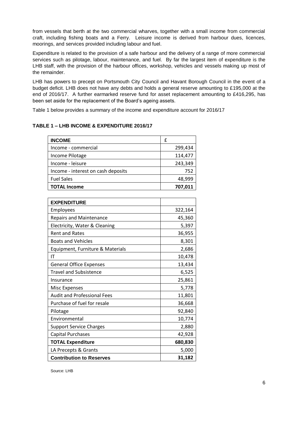from vessels that berth at the two commercial wharves, together with a small income from commercial craft, including fishing boats and a Ferry. Leisure income is derived from harbour dues, licences, moorings, and services provided including labour and fuel.

Expenditure is related to the provision of a safe harbour and the delivery of a range of more commercial services such as pilotage, labour, maintenance, and fuel. By far the largest item of expenditure is the LHB staff, with the provision of the harbour offices, workshop, vehicles and vessels making up most of the remainder.

LHB has powers to precept on Portsmouth City Council and Havant Borough Council in the event of a budget deficit. LHB does not have any debts and holds a general reserve amounting to £195,000 at the end of 2016/17. A further earmarked reserve fund for asset replacement amounting to £416,295, has been set aside for the replacement of the Board's ageing assets.

Table 1 below provides a summary of the income and expenditure account for 2016/17

## **TABLE 1 – LHB INCOME & EXPENDITURE 2016/17**

| <b>INCOME</b>                      | f       |
|------------------------------------|---------|
| Income - commercial                | 299,434 |
| Income Pilotage                    | 114,477 |
| Income - leisure                   | 243,349 |
| Income - interest on cash deposits | 752     |
| <b>Fuel Sales</b>                  | 48,999  |
| <b>TOTAL Income</b>                | 707,011 |

| <b>EXPENDITURE</b>                 |         |
|------------------------------------|---------|
| Employees                          | 322,164 |
| <b>Repairs and Maintenance</b>     | 45,360  |
| Electricity, Water & Cleaning      | 5,397   |
| <b>Rent and Rates</b>              | 36,955  |
| <b>Boats and Vehicles</b>          | 8,301   |
| Equipment, Furniture & Materials   | 2,686   |
| IT                                 | 10,478  |
| <b>General Office Expenses</b>     | 13,434  |
| <b>Travel and Subsistence</b>      | 6,525   |
| Insurance                          | 25,861  |
| <b>Misc Expenses</b>               | 5,778   |
| <b>Audit and Professional Fees</b> | 11,801  |
| Purchase of fuel for resale        | 36,668  |
| Pilotage                           | 92,840  |
| Environmental                      | 10,774  |
| <b>Support Service Charges</b>     | 2,880   |
| <b>Capital Purchases</b>           | 42,928  |
| <b>TOTAL Expenditure</b>           | 680,830 |
| LA Precepts & Grants               | 5,000   |
| <b>Contribution to Reserves</b>    | 31,182  |

Source: LHB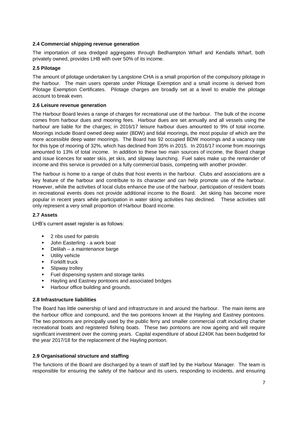### <span id="page-6-0"></span>**2.4 Commercial shipping revenue generation**

The importation of sea dredged aggregates through Bedhampton Wharf and Kendalls Wharf, both privately owned, provides LHB with over 50% of its income.

### <span id="page-6-1"></span>**2.5 Pilotage**

The amount of pilotage undertaken by Langstone CHA is a small proportion of the compulsory pilotage in the harbour. The main users operate under Pilotage Exemption and a small income is derived from Pilotage Exemption Certificates. Pilotage charges are broadly set at a level to enable the pilotage account to break even.

### <span id="page-6-2"></span>**2.6 Leisure revenue generation**

The Harbour Board levies a range of charges for recreational use of the harbour. The bulk of the income comes from harbour dues and mooring fees. Harbour dues are set annually and all vessels using the harbour are liable for the charges; in 2016/17 leisure harbour dues amounted to 9% of total income. Moorings include Board owned deep water (BDW) and tidal moorings, the most popular of which are the more accessible deep water moorings. The Board has 92 occupied BDW moorings and a vacancy rate for this type of mooring of 32%, which has declined from 35% in 2015. In 2016/17 income from moorings amounted to 13% of total income. In addition to these two main sources of income, the Board charge and issue licences for water skis, jet skis, and slipway launching. Fuel sales make up the remainder of income and this service is provided on a fully commercial basis, competing with another provider.

The harbour is home to a range of clubs that host events in the harbour. Clubs and associations are a key feature of the harbour and contribute to its character and can help promote use of the harbour. However, while the activities of local clubs enhance the use of the harbour, participation of resident boats in recreational events does not provide additional income to the Board. Jet skiing has become more popular in recent years while participation in water skiing activities has declined. These activities still only represent a very small proportion of Harbour Board income.

### <span id="page-6-3"></span>**2.7 Assets**

LHB's current asset register is as follows:

- 2 ribs used for patrols
- **John Easterling a work boat**
- Delilah a maintenance barge
- Utility vehicle
- Forklift truck
- Slipway trolley
- Fuel dispensing system and storage tanks
- Hayling and Eastney pontoons and associated bridges
- Harbour office building and grounds.

#### <span id="page-6-4"></span>**2.8 Infrastructure liabilities**

The Board has little ownership of land and infrastructure in and around the harbour. The main items are the harbour office and compound, and the two pontoons known at the Hayling and Eastney pontoons. The two pontoons are principally used by the public ferry and smaller commercial craft including charter recreational boats and registered fishing boats. These two pontoons are now ageing and will require significant investment over the coming years. Capital expenditure of about £240K has been budgeted for the year 2017/18 for the replacement of the Hayling pontoon.

#### <span id="page-6-5"></span>**2.9 Organisational structure and staffing**

The functions of the Board are discharged by a team of staff led by the Harbour Manager. The team is responsible for ensuring the safety of the harbour and its users, responding to incidents, and ensuring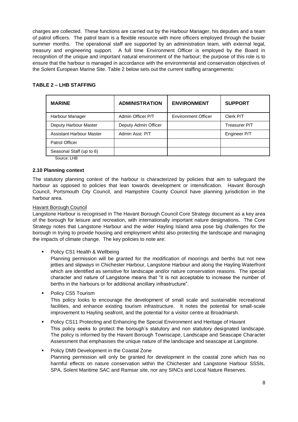charges are collected. These functions are carried out by the Harbour Manager, his deputies and a team of patrol officers. The patrol team is a flexible resource with more officers employed through the busier summer months. The operational staff are supported by an administration team, with external legal, treasury and engineering support. A full time Environment Officer is employed by the Board in recognition of the unique and important natural environment of the harbour; the purpose of this role is to ensure that the harbour is managed in accordance with the environmental and conservation objectives of the Solent European Marine Site. Table 2 below sets out the current staffing arrangements:

## **TABLE 2 – LHB STAFFING**

| <b>MARINE</b>            | <b>ADMINISTRATION</b> | <b>ENVIRONMENT</b>         | <b>SUPPORT</b> |
|--------------------------|-----------------------|----------------------------|----------------|
| Harbour Manager          | Admin Officer P/T     | <b>Environment Officer</b> | Clerk P/T      |
| Deputy Harbour Master    | Deputy Admin Officer  |                            | Treasurer P/T  |
| Assistant Harbour Master | Admin Asst P/T        |                            | Engineer P/T   |
| Patrol Officer           |                       |                            |                |
| Seasonal Staff (up to 6) |                       |                            |                |
|                          |                       |                            |                |

Source: LHB

### <span id="page-7-0"></span>**2.10 Planning context**

The statutory planning context of the harbour is characterized by policies that aim to safeguard the harbour as opposed to policies that lean towards development or intensification. Havant Borough Council, Portsmouth City Council, and Hampshire County Council have planning jurisdiction in the harbour area.

### Havant Borough Council

Langstone Harbour is recognised in The Havant Borough Council Core Strategy document as a key area of the borough for leisure and recreation, with internationally important nature designations. The Core Strategy notes that Langstone Harbour and the wider Hayling Island area pose big challenges for the borough in trying to provide housing and employment whilst also protecting the landscape and managing the impacts of climate change. The key policies to note are:

• Policy CS1 Health & Wellbeing

Planning permission will be granted for the modification of moorings and berths but not new jetties and slipways in Chichester Harbour, Langstone Harbour and along the Hayling Waterfront which are identified as sensitive for landscape and/or nature conservation reasons. The special character and nature of Langstone means that "it is not acceptable to increase the number of berths in the harbours or for additional ancillary infrastructure".

• Policy CS5 Tourism

This policy looks to encourage the development of small scale and sustainable recreational facilities, and enhance existing tourism infrastructure. It notes the potential for small-scale improvement to Hayling seafront, and the potential for a visitor centre at Broadmarsh.

- Policy CS11 Protecting and Enhancing the Special Environment and Heritage of Havant This policy seeks to protect the borough's statutory and non statutory designated landscape. The policy is informed by the Havant Borough Townscape, Landscape and Seascape Character Assessment that emphasises the unique nature of the landscape and seascape at Langstone.
- **Policy DM9 Development in the Coastal Zone** Planning permission will only be granted for development in the coastal zone which has no harmful effects on nature conservation within the Chichester and Langstone Harbour SSSIs, SPA, Solent Maritime SAC and Ramsar site, nor any SINCs and Local Nature Reserves.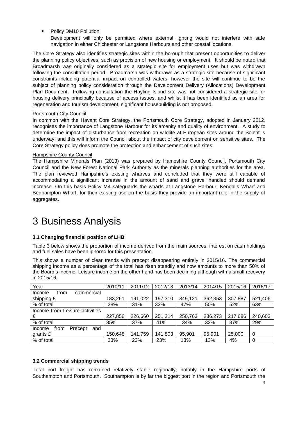**•** Policy DM10 Pollution

Development will only be permitted where external lighting would not interfere with safe navigation in either Chichester or Langstone Harbours and other coastal locations.

The Core Strategy also identifies strategic sites within the borough that present opportunities to deliver the planning policy objectives, such as provision of new housing or employment. It should be noted that Broadmarsh was originally considered as a strategic site for employment uses but was withdrawn following the consultation period. Broadmarsh was withdrawn as a strategic site because of significant constraints including potential impact on controlled waters; however the site will continue to be the subject of planning policy consideration through the Development Delivery (Allocations) Development Plan Document. Following consultation the Hayling Island site was not considered a strategic site for housing delivery principally because of access issues, and whilst it has been identified as an area for regeneration and tourism development, significant housebuilding is not proposed.

### Portsmouth City Council

In common with the Havant Core Strategy, the Portsmouth Core Strategy, adopted in January 2012, recognises the importance of Langstone Harbour for its amenity and quality of environment. A study to determine the impact of disturbance from recreation on wildlife at European sites around the Solent is underway, and this will inform the Council about the impact of city development on sensitive sites. The Core Strategy policy does promote the protection and enhancement of such sites.

### Hampshire County Council

The Hampshire Minerals Plan (2013) was prepared by Hampshire County Council, Portsmouth City Council and the New Forest National Park Authority as the minerals planning authorities for the area. The plan reviewed Hampshire's existing wharves and concluded that they were still capable of accommodating a significant increase in the amount of sand and gravel handled should demand increase. On this basis Policy M4 safeguards the wharfs at Langstone Harbour, Kendalls Wharf and Bedhampton Wharf, for their existing use on the basis they provide an important role in the supply of aggregates.

## <span id="page-8-0"></span>3 Business Analysis

### **3.1 Changing financial position of LHB**

Table 3 below shows the proportion of income derived from the main sources; interest on cash holdings and fuel sales have been ignored for this presentation.

This shows a number of clear trends with precept disappearing entirely in 2015/16. The commercial shipping income as a percentage of the total has risen steadily and now amounts to more than 50% of the Board's income. Leisure income on the other hand has been declining although with a small recovery in 2015/16.

| Year                             | 2010/11 | 2011/12 | 2012/13 | 2013/14 | 2014/15 | 2015/16 | 2016/17 |
|----------------------------------|---------|---------|---------|---------|---------|---------|---------|
| commercial<br>Income<br>from     |         |         |         |         |         |         |         |
| shipping £                       | 183,261 | 191,022 | 197,310 | 349,121 | 362,353 | 307,887 | 521,406 |
| % of total                       | 28%     | 31%     | 32%     | 47%     | 50%     | 52%     | 63%     |
| Income from Leisure activities   |         |         |         |         |         |         |         |
| £                                | 227,856 | 226,660 | 251,214 | 250,763 | 236,273 | 217,686 | 240,603 |
| % of total                       | 35%     | 37%     | 41%     | 34%     | 32%     | 37%     | 29%     |
| Precept<br>and<br>from<br>Income |         |         |         |         |         |         |         |
| grants $E$                       | 150,648 | 141,759 | 141,803 | 95,901  | 95,901  | 25,000  | 0       |
| % of total                       | 23%     | 23%     | 23%     | 13%     | 13%     | 4%      | 0       |

### <span id="page-8-1"></span>**3.2 Commercial shipping trends**

Total port freight has remained relatively stable regionally, notably in the Hampshire ports of Southampton and Portsmouth. Southampton is by far the biggest port in the region and Portsmouth the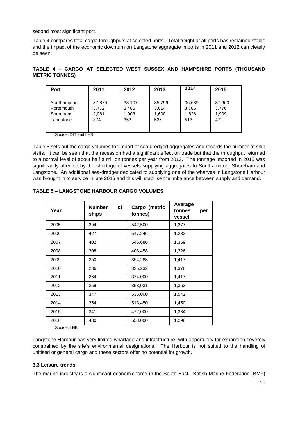second most significant port.

Table 4 compares total cargo throughputs at selected ports. Total freight at all ports has remained stable and the impact of the economic downturn on Langstone aggregate imports in 2011 and 2012 can clearly be seen.

**TABLE 4 – CARGO AT SELECTED WEST SUSSEX AND HAMPSHIRE PORTS (THOUSAND METRIC TONNES)**

| Port        | 2011   | 2012   | 2013   | 2014   | 2015   |
|-------------|--------|--------|--------|--------|--------|
| Southampton | 37,879 | 38,107 | 35,796 | 36,689 | 37,660 |
| Portsmouth  | 3.772  | 3,486  | 3,614  | 3,786  | 3,776  |
| Shoreham    | 2,081  | 1,903  | 1,600  | 1,826  | 1,909  |
| Langstone   | 374    | 353    | 535    | 513    | 472    |

Source: DfT and LHB

Table 5 sets out the cargo volumes for import of sea dredged aggregates and records the number of ship visits. It can be seen that the recession had a significant effect on trade but that the throughput returned to a normal level of about half a million tonnes per year from 2013. The tonnage imported in 2015 was significantly affected by the shortage of vessels supplying aggregates to Southampton, Shoreham and Langstone. An additional sea-dredger dedicated to supplying one of the wharves in Langstone Harbour was brought in to service in late 2016 and this will stabilise the imbalance between supply and demand.

| Year | <b>Number</b><br>of<br>Cargo (metric<br>ships<br>tonnes) |         | Average<br>tonnes<br>per<br>vessel |
|------|----------------------------------------------------------|---------|------------------------------------|
| 2005 | 394                                                      | 542,500 | 1,377                              |
| 2006 | 427                                                      | 547,246 | 1,282                              |
| 2007 | 402                                                      | 546,686 | 1,359                              |
| 2008 | 308                                                      | 408,458 | 1,326                              |
| 2009 | 250                                                      | 354,283 | 1,417                              |
| 2010 | 236                                                      | 325,232 | 1,378                              |
| 2011 | 264                                                      | 374,000 | 1,417                              |
| 2012 | 259                                                      | 353,031 | 1,363                              |
| 2013 | 347                                                      | 535,000 | 1,542                              |
| 2014 | 354                                                      | 513,450 | 1,450                              |
| 2015 | 341                                                      | 472,000 | 1,384                              |
| 2016 | 430                                                      | 558,000 | 1,298                              |

## **TABLE 5 – LANGSTONE HARBOUR CARGO VOLUMES**

Source: LHB

Langstone Harbour has very limited wharfage and infrastructure, with opportunity for expansion severely constrained by the site's environmental designations. The Harbour is not suited to the handling of unitised or general cargo and these sectors offer no potential for growth.

### <span id="page-9-0"></span>**3.3 Leisure trends**

The marine industry is a significant economic force in the South East. British Marine Federation (BMF)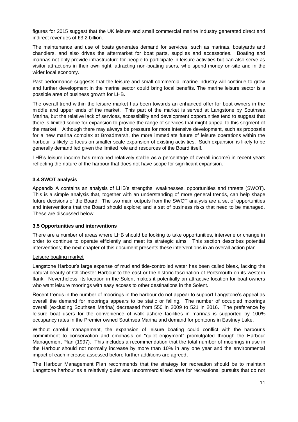figures for 2015 suggest that the UK leisure and small commercial marine industry generated direct and indirect revenues of £3.2 billion.

The maintenance and use of boats generates demand for services, such as marinas, boatyards and chandlers, and also drives the aftermarket for boat parts, supplies and accessories. Boating and marinas not only provide infrastructure for people to participate in leisure activities but can also serve as visitor attractions in their own right, attracting non-boating users, who spend money on-site and in the wider local economy.

Past performance suggests that the leisure and small commercial marine industry will continue to grow and further development in the marine sector could bring local benefits. The marine leisure sector is a possible area of business growth for LHB.

The overall trend within the leisure market has been towards an enhanced offer for boat owners in the middle and upper ends of the market. This part of the market is served at Langstone by Southsea Marina, but the relative lack of services, accessibility and development opportunities tend to suggest that there is limited scope for expansion to provide the range of services that might appeal to this segment of the market. Although there may always be pressure for more intensive development, such as proposals for a new marina complex at Broadmarsh, the more immediate future of leisure operations within the harbour is likely to focus on smaller scale expansion of existing activities. Such expansion is likely to be generally demand led given the limited role and resources of the Board itself.

LHB's leisure income has remained relatively stable as a percentage of overall income) in recent years reflecting the nature of the harbour that does not have scope for significant expansion.

### <span id="page-10-0"></span>**3.4 SWOT analysis**

Appendix A contains an analysis of LHB's strengths, weaknesses, opportunities and threats (SWOT). This is a simple analysis that, together with an understanding of more general trends, can help shape future decisions of the Board. The two main outputs from the SWOT analysis are a set of opportunities and interventions that the Board should explore; and a set of business risks that need to be managed. These are discussed below.

#### <span id="page-10-1"></span>**3.5 Opportunities and interventions**

There are a number of areas where LHB should be looking to take opportunities, intervene or change in order to continue to operate efficiently and meet its strategic aims. This section describes potential interventions; the next chapter of this document presents these interventions in an overall action plan.

#### Leisure boating market

Langstone Harbour's large expanse of mud and tide-controlled water has been called bleak, lacking the natural beauty of Chichester Harbour to the east or the historic fascination of Portsmouth on its western flank. Nevertheless, its location in the Solent makes it potentially an attractive location for boat owners who want leisure moorings with easy access to other destinations in the Solent.

Recent trends in the number of moorings in the harbour do not appear to support Langstone's appeal as overall the demand for moorings appears to be static or falling. The number of occupied moorings overall (excluding Southsea Marina) decreased from 550 in 2009 to 521 in 2016. The preference by leisure boat users for the convenience of walk ashore facilities in marinas is supported by 100% occupancy rates in the Premier owned Southsea Marina and demand for pontoons in Eastney Lake.

Without careful management, the expansion of leisure boating could conflict with the harbour's commitment to conservation and emphasis on "quiet enjoyment" promulgated through the Harbour Management Plan (1997). This includes a recommendation that the total number of moorings in use in the Harbour should not normally increase by more than 10% in any one year and the environmental impact of each increase assessed before further additions are agreed.

The Harbour Management Plan recommends that the strategy for recreation should be to maintain Langstone harbour as a relatively quiet and uncommercialised area for recreational pursuits that do not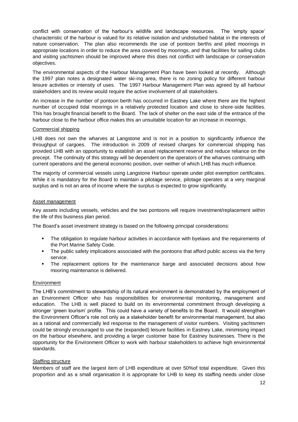conflict with conservation of the harbour's wildlife and landscape resources. The 'empty space' characteristic of the harbour is valued for its relative isolation and undisturbed habitat in the interests of nature conservation. The plan also recommends the use of pontoon berths and piled moorings in appropriate locations in order to reduce the area covered by moorings, and that facilities for sailing clubs and visiting yachtsmen should be improved where this does not conflict with landscape or conservation objectives.

The environmental aspects of the Harbour Management Plan have been looked at recently. Although the 1997 plan notes a designated water ski-ing area, there is no zoning policy for different harbour leisure activities or intensity of uses. The 1997 Harbour Management Plan was agreed by all harbour stakeholders and its review would require the active involvement of all stakeholders.

An increase in the number of pontoon berth has occurred in Eastney Lake where there are the highest number of occupied tidal moorings in a relatively protected location and close to shore-side facilities. This has brought financial benefit to the Board. The lack of shelter on the east side of the entrance of the harbour close to the harbour office makes this an unsuitable location for an increase in moorings.

### Commercial shipping

LHB does not own the wharves at Langstone and is not in a position to significantly influence the throughput of cargoes. The introduction in 2009 of revised charges for commercial shipping has provided LHB with an opportunity to establish an asset replacement reserve and reduce reliance on the precept. The continuity of this strategy will be dependent on the operators of the wharves continuing with current operations and the general economic position, over neither of which LHB has much influence.

The majority of commercial vessels using Langstone Harbour operate under pilot exemption certificates. While it is mandatory for the Board to maintain a pilotage service, pilotage operates at a very marginal surplus and is not an area of income where the surplus is expected to grow significantly.

### Asset management

Key assets including vessels, vehicles and the two pontoons will require investment/replacement within the life of this business plan period.

The Board's asset investment strategy is based on the following principal considerations:

- **The obligation to regulate harbour activities in accordance with byelaws and the requirements of** the Port Marine Safety Code.
- The public safety implications associated with the pontoons that afford public access via the ferry service.
- The replacement options for the maintenance barge and associated decisions about how mooring maintenance is delivered.

#### **Environment**

The LHB's commitment to stewardship of its natural environment is demonstrated by the employment of an Environment Officer who has responsibilities for environmental monitoring, management and education. The LHB is well placed to build on its environmental commitment through developing a stronger 'green tourism' profile. This could have a variety of benefits to the Board. It would strengthen the Environment Officer's role not only as a stakeholder benefit for environmental management, but also as a rational and commercially led response to the management of visitor numbers. Visiting yachtsmen could be strongly encouraged to use the (expanded) leisure facilities in Eastney Lake, minimising impact on the harbour elsewhere, and providing a larger customer base for Eastney businesses. There is the opportunity for the Environment Officer to work with harbour stakeholders to achieve high environmental standards.

### Staffing structure

Members of staff are the largest item of LHB expenditure at over 50%of total expenditure. Given this proportion and as a small organisation it is appropriate for LHB to keep its staffing needs under close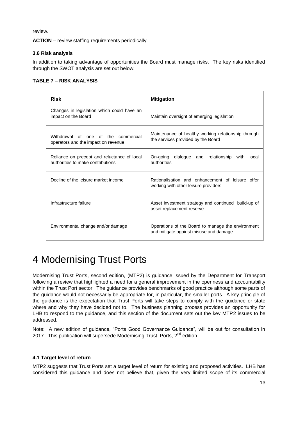review.

**ACTION** – review staffing requirements periodically.

## <span id="page-12-0"></span>**3.6 Risk analysis**

In addition to taking advantage of opportunities the Board must manage risks. The key risks identified through the SWOT analysis are set out below.

## **TABLE 7 – RISK ANALYSIS**

| Risk                                                                             | <b>Mitigation</b>                                                                           |
|----------------------------------------------------------------------------------|---------------------------------------------------------------------------------------------|
| Changes in legislation which could have an<br>impact on the Board                | Maintain oversight of emerging legislation                                                  |
| Withdrawal of one of the commercial<br>operators and the impact on revenue       | Maintenance of healthy working relationship through<br>the services provided by the Board   |
| Reliance on precept and reluctance of local<br>authorities to make contributions | On-going dialogue and relationship with<br>local<br>authorities                             |
| Decline of the leisure market income                                             | Rationalisation and enhancement of leisure offer<br>working with other leisure providers    |
| Infrastructure failure                                                           | Asset investment strategy and continued build-up of<br>asset replacement reserve            |
| Environmental change and/or damage                                               | Operations of the Board to manage the environment<br>and mitigate against misuse and damage |

## <span id="page-12-1"></span>4 Modernising Trust Ports

Modernising Trust Ports, second edition, (MTP2) is guidance issued by the Department for Transport following a review that highlighted a need for a general improvement in the openness and accountability within the Trust Port sector. The guidance provides benchmarks of good practice although some parts of the guidance would not necessarily be appropriate for, in particular, the smaller ports. A key principle of the guidance is the expectation that Trust Ports will take steps to comply with the guidance or state where and why they have decided not to. The business planning process provides an opportunity for LHB to respond to the guidance, and this section of the document sets out the key MTP2 issues to be addressed.

Note: A new edition of guidance, "Ports Good Governance Guidance", will be out for consultation in 2017. This publication will supersede Modernising Trust Ports,  $2^{nd}$  edition.

## <span id="page-12-2"></span>**4.1 Target level of return**

MTP2 suggests that Trust Ports set a target level of return for existing and proposed activities. LHB has considered this guidance and does not believe that, given the very limited scope of its commercial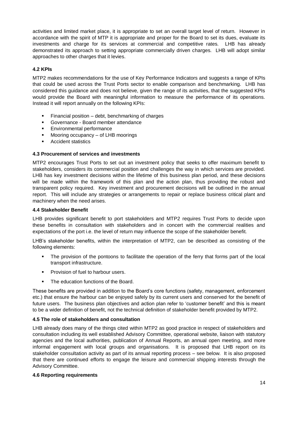activities and limited market place, it is appropriate to set an overall target level of return. However in accordance with the spirit of MTP it is appropriate and proper for the Board to set its dues, evaluate its investments and charge for its services at commercial and competitive rates. LHB has already demonstrated its approach to setting appropriate commercially driven charges. LHB will adopt similar approaches to other charges that it levies.

### <span id="page-13-0"></span>**4.2 KPIs**

MTP2 makes recommendations for the use of Key Performance Indicators and suggests a range of KPIs that could be used across the Trust Ports sector to enable comparison and benchmarking. LHB has considered this guidance and does not believe, given the range of its activities, that the suggested KPIs would provide the Board with meaningful information to measure the performance of its operations. Instead it will report annually on the following KPIs:

- $\blacksquare$  Financial position debt, benchmarking of charges
- Governance Board member attendance
- **Environmental performance**
- Mooring occupancy of LHB moorings
- **Accident statistics**

### <span id="page-13-1"></span>**4.3 Procurement of services and investments**

MTP2 encourages Trust Ports to set out an investment policy that seeks to offer maximum benefit to stakeholders, considers its commercial position and challenges the way in which services are provided. LHB has key investment decisions within the lifetime of this business plan period, and these decisions will be made within the framework of this plan and the action plan, thus providing the robust and transparent policy required. Key investment and procurement decisions will be outlined in the annual report. This will include any strategies or arrangements to repair or replace business critical plant and machinery when the need arises.

### <span id="page-13-2"></span>**4.4 Stakeholder Benefit**

LHB provides significant benefit to port stakeholders and MTP2 requires Trust Ports to decide upon these benefits in consultation with stakeholders and in concert with the commercial realities and expectations of the port i.e. the level of return may influence the scope of the stakeholder benefit.

LHB's stakeholder benefits, within the interpretation of MTP2, can be described as consisting of the following elements:

- The provision of the pontoons to facilitate the operation of the ferry that forms part of the local transport infrastructure.
- **Provision of fuel to harbour users.**
- The education functions of the Board.

These benefits are provided in addition to the Board's core functions (safety, management, enforcement etc.) that ensure the harbour can be enjoyed safely by its current users and conserved for the benefit of future users. The business plan objectives and action plan refer to 'customer benefit' and this is meant to be a wider definition of benefit, not the technical definition of stakeholder benefit provided by MTP2.

### <span id="page-13-3"></span>**4.5 The role of stakeholders and consultation**

LHB already does many of the things cited within MTP2 as good practice in respect of stakeholders and consultation including its well established Advisory Committee, operational website, liaison with statutory agencies and the local authorities, publication of Annual Reports, an annual open meeting, and more informal engagement with local groups and organisations. It is proposed that LHB report on its stakeholder consultation activity as part of its annual reporting process – see below. It is also proposed that there are continued efforts to engage the leisure and commercial shipping interests through the Advisory Committee.

### <span id="page-13-4"></span>**4.6 Reporting requirements**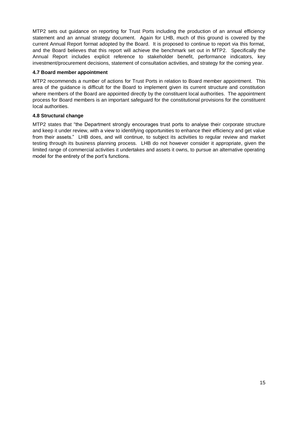MTP2 sets out guidance on reporting for Trust Ports including the production of an annual efficiency statement and an annual strategy document. Again for LHB, much of this ground is covered by the current Annual Report format adopted by the Board. It is proposed to continue to report via this format, and the Board believes that this report will achieve the benchmark set out in MTP2. Specifically the Annual Report includes explicit reference to stakeholder benefit, performance indicators, key investment/procurement decisions, statement of consultation activities, and strategy for the coming year.

## <span id="page-14-0"></span>**4.7 Board member appointment**

MTP2 recommends a number of actions for Trust Ports in relation to Board member appointment. This area of the guidance is difficult for the Board to implement given its current structure and constitution where members of the Board are appointed directly by the constituent local authorities. The appointment process for Board members is an important safeguard for the constitutional provisions for the constituent local authorities.

## <span id="page-14-1"></span>**4.8 Structural change**

MTP2 states that "the Department strongly encourages trust ports to analyse their corporate structure and keep it under review, with a view to identifying opportunities to enhance their efficiency and get value from their assets." LHB does, and will continue, to subject its activities to regular review and market testing through its business planning process. LHB do not however consider it appropriate, given the limited range of commercial activities it undertakes and assets it owns, to pursue an alternative operating model for the entirety of the port's functions.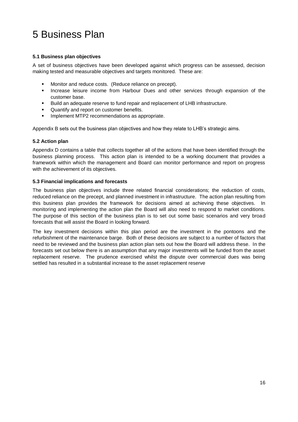## <span id="page-15-0"></span>5 Business Plan

## <span id="page-15-1"></span>**5.1 Business plan objectives**

A set of business objectives have been developed against which progress can be assessed, decision making tested and measurable objectives and targets monitored. These are:

- **Monitor and reduce costs. (Reduce reliance on precept).**
- **Increase leisure income from Harbour Dues and other services through expansion of the** customer base.
- Build an adequate reserve to fund repair and replacement of LHB infrastructure.
- Quantify and report on customer benefits.
- **Implement MTP2 recommendations as appropriate.**

Appendix B sets out the business plan objectives and how they relate to LHB's strategic aims.

### <span id="page-15-2"></span>**5.2 Action plan**

Appendix D contains a table that collects together all of the actions that have been identified through the business planning process. This action plan is intended to be a working document that provides a framework within which the management and Board can monitor performance and report on progress with the achievement of its objectives.

### <span id="page-15-3"></span>**5.3 Financial implications and forecasts**

The business plan objectives include three related financial considerations; the reduction of costs, reduced reliance on the precept, and planned investment in infrastructure. The action plan resulting from this business plan provides the framework for decisions aimed at achieving these objectives. In monitoring and implementing the action plan the Board will also need to respond to market conditions. The purpose of this section of the business plan is to set out some basic scenarios and very broad forecasts that will assist the Board in looking forward.

The key investment decisions within this plan period are the investment in the pontoons and the refurbishment of the maintenance barge. Both of these decisions are subject to a number of factors that need to be reviewed and the business plan action plan sets out how the Board will address these. In the forecasts set out below there is an assumption that any major investments will be funded from the asset replacement reserve. The prudence exercised whilst the dispute over commercial dues was being settled has resulted in a substantial increase to the asset replacement reserve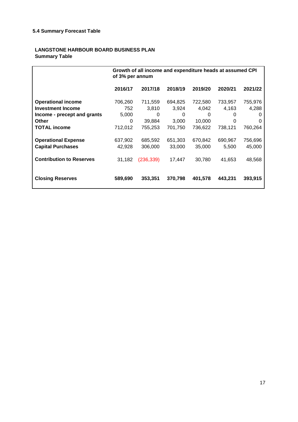## <span id="page-16-0"></span>**LANGSTONE HARBOUR BOARD BUSINESS PLAN Summary Table**

|                                 | Growth of all income and expenditure heads at assumed CPI<br>of 3% per annum |            |         |         |         |         |
|---------------------------------|------------------------------------------------------------------------------|------------|---------|---------|---------|---------|
|                                 | 2016/17                                                                      | 2017/18    | 2018/19 | 2019/20 | 2020/21 | 2021/22 |
| <b>Operational income</b>       | 706,260                                                                      | 711,559    | 694,825 | 722,580 | 733,957 | 755,976 |
| <b>Investment Income</b>        | 752                                                                          | 3,810      | 3,924   | 4,042   | 4,163   | 4,288   |
| Income - precept and grants     | 5,000                                                                        | 0          | 0       | 0       | 0       | 0       |
| Other                           | 0                                                                            | 39,884     | 3,000   | 10,000  | 0       | 0       |
| <b>TOTAL income</b>             | 712,012                                                                      | 755,253    | 701,750 | 736,622 | 738,121 | 760,264 |
| <b>Operational Expense</b>      | 637,902                                                                      | 685,592    | 651,303 | 670,842 | 690,967 | 756,696 |
| <b>Capital Purchases</b>        | 42,928                                                                       | 306,000    | 33,000  | 35,000  | 5,500   | 45,000  |
| <b>Contribution to Reserves</b> | 31,182                                                                       | (236, 339) | 17,447  | 30,780  | 41,653  | 48,568  |
| <b>Closing Reserves</b>         | 589,690                                                                      | 353,351    | 370,798 | 401,578 | 443,231 | 393,915 |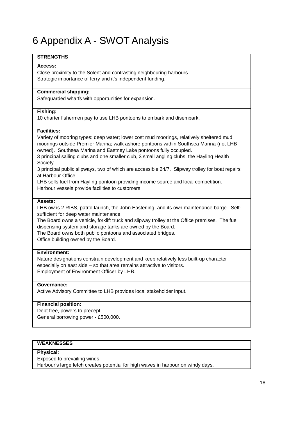## <span id="page-17-0"></span>6 Appendix A - SWOT Analysis

## **STRENGTHS**

### **Access:**

Close proximity to the Solent and contrasting neighbouring harbours. Strategic importance of ferry and it's independent funding.

## **Commercial shipping:**

Safeguarded wharfs with opportunities for expansion.

### **Fishing:**

10 charter fishermen pay to use LHB pontoons to embark and disembark.

### **Facilities:**

Variety of mooring types: deep water; lower cost mud moorings, relatively sheltered mud moorings outside Premier Marina; walk ashore pontoons within Southsea Marina (not LHB owned). Southsea Marina and Eastney Lake pontoons fully occupied.

3 principal sailing clubs and one smaller club, 3 small angling clubs, the Hayling Health Society.

3 principal public slipways, two of which are accessible 24/7. Slipway trolley for boat repairs at Harbour Office

LHB sells fuel from Hayling pontoon providing income source and local competition. Harbour vessels provide facilities to customers.

#### **Assets:**

LHB owns 2 RIBS, patrol launch, the John Easterling, and its own maintenance barge. Selfsufficient for deep water maintenance.

The Board owns a vehicle, forklift truck and slipway trolley at the Office premises. The fuel dispensing system and storage tanks are owned by the Board.

The Board owns both public pontoons and associated bridges.

Office building owned by the Board.

### **Environment:**

Nature designations constrain development and keep relatively less built-up character especially on east side – so that area remains attractive to visitors. Employment of Environment Officer by LHB.

## **Governance:**

Active Advisory Committee to LHB provides local stakeholder input.

### **Financial position:**

Debt free, powers to precept. General borrowing power - £500,000.

### **WEAKNESSES**

#### **Physical:**

Exposed to prevailing winds.

Harbour's large fetch creates potential for high waves in harbour on windy days.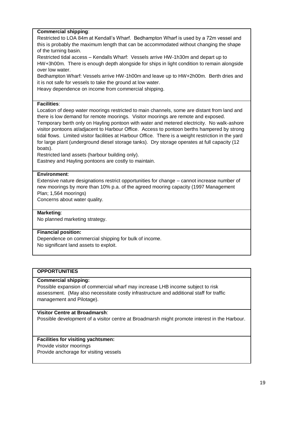## **Commercial shipping**:

Restricted to LOA 84m at Kendall's Wharf. Bedhampton Wharf is used by a 72m vessel and this is probably the maximum length that can be accommodated without changing the shape of the turning basin.

Restricted tidal access – Kendalls Wharf: Vessels arrive HW-1h30m and depart up to HW+3h00m. There is enough depth alongside for ships in light condition to remain alongside over low water.

Bedhampton Wharf: Vessels arrive HW-1h00m and leave up to HW+2h00m. Berth dries and it is not safe for vessels to take the ground at low water.

Heavy dependence on income from commercial shipping.

### **Facilities**:

Location of deep water moorings restricted to main channels, some are distant from land and there is low demand for remote moorings. Visitor moorings are remote and exposed.

Temporary berth only on Hayling pontoon with water and metered electricity. No walk-ashore visitor pontoons at/adjacent to Harbour Office. Access to pontoon berths hampered by strong tidal flows. Limited visitor facilities at Harbour Office. There is a weight restriction in the yard for large plant (underground diesel storage tanks). Dry storage operates at full capacity (12 boats).

Restricted land assets (harbour building only).

Eastney and Hayling pontoons are costly to maintain.

## **Environment**:

Extensive nature designations restrict opportunities for change – cannot increase number of new moorings by more than 10% p.a. of the agreed mooring capacity (1997 Management Plan; 1,564 moorings)

Concerns about water quality.

### **Marketing**:

No planned marketing strategy.

### **Financial position:**

Dependence on commercial shipping for bulk of income. No significant land assets to exploit.

## **OPPORTUNITIES**

### **Commercial shipping:**

Possible expansion of commercial wharf may increase LHB income subject to risk assessment. (May also necessitate costly infrastructure and additional staff for traffic management and Pilotage).

### **Visitor Centre at Broadmarsh**:

Possible development of a visitor centre at Broadmarsh might promote interest in the Harbour.

## **Facilities for visiting yachtsmen:**

Provide visitor moorings

Provide anchorage for visiting vessels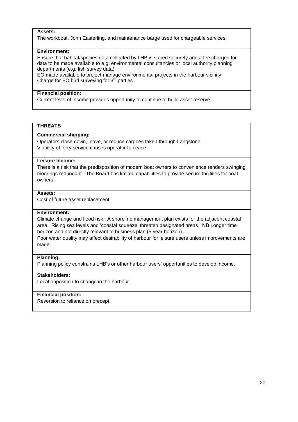#### **Assets:**

The workboat, John Easterling, and maintenance barge used for chargeable services.

### **Environment:**

Ensure that habitat/species data collected by LHB is stored securely and a fee charged for data to be made available to e.g. environmental consultancies or local authority planning departments (e.g. fish survey data)

EO made available to project manage environmental projects in the harbour vicinity Charge for EO bird surveying for  $3^{rd}$  parties

### **Financial position:**

Current level of income provides opportunity to continue to build asset reserve.

### **THREATS**

### **Commercial shipping:**

Operators close down, leave, or reduce cargoes taken through Langstone. Viability of ferry service causes operator to cease

### **Leisure Income:**

There is a risk that the predisposition of modern boat owners to convenience renders swinging moorings redundant. The Board has limited capabilities to provide secure facilities for boat owners.

### **Assets:**

Cost of future asset replacement.

### **Environment:**

Climate change and flood risk. A shoreline management plan exists for the adjacent coastal area. Rising sea levels and 'coastal squeeze' threaten designated areas. NB Longer time horizon and not directly relevant to business plan (5 year horizon).

Poor water quality may affect desirability of harbour for leisure users unless improvements are made.

### **Planning:**

Planning policy constrains LHB's or other harbour users' opportunities to develop income.

### **Stakeholders:**

Local opposition to change in the harbour.

### **Financial position:**

Reversion to reliance on precept.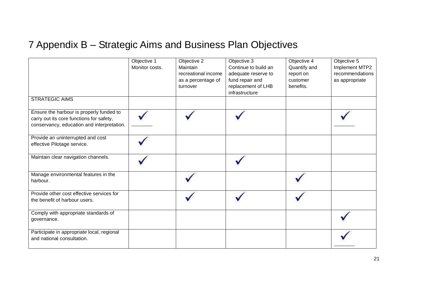## 7 Appendix B – Strategic Aims and Business Plan Objectives

<span id="page-20-0"></span>

|                                                                                                                                    | Objective 1<br>Monitor costs. | Objective 2<br>Maintain<br>recreational income<br>as a percentage of<br>turnover | Objective 3<br>Continue to build an<br>adequate reserve to<br>fund repair and<br>replacement of LHB<br>infrastructure | Objective 4<br>Quantify and<br>report on<br>customer<br>benefits. | Objective 5<br>Implement MTP2<br>recommendations<br>as appropriate |
|------------------------------------------------------------------------------------------------------------------------------------|-------------------------------|----------------------------------------------------------------------------------|-----------------------------------------------------------------------------------------------------------------------|-------------------------------------------------------------------|--------------------------------------------------------------------|
| <b>STRATEGIC AIMS</b>                                                                                                              |                               |                                                                                  |                                                                                                                       |                                                                   |                                                                    |
| Ensure the harbour is properly funded to<br>carry out its core functions for safety,<br>conservancy, education and interpretation. |                               |                                                                                  |                                                                                                                       |                                                                   |                                                                    |
| Provide an uninterrupted and cost<br>effective Pilotage service.                                                                   |                               |                                                                                  |                                                                                                                       |                                                                   |                                                                    |
| Maintain clear navigation channels.                                                                                                |                               |                                                                                  |                                                                                                                       |                                                                   |                                                                    |
| Manage environmental features in the<br>harbour.                                                                                   |                               |                                                                                  |                                                                                                                       |                                                                   |                                                                    |
| Provide other cost effective services for<br>the benefit of harbour users.                                                         |                               |                                                                                  |                                                                                                                       |                                                                   |                                                                    |
| Comply with appropriate standards of<br>governance.                                                                                |                               |                                                                                  |                                                                                                                       |                                                                   |                                                                    |
| Participate in appropriate local, regional<br>and national consultation.                                                           |                               |                                                                                  |                                                                                                                       |                                                                   |                                                                    |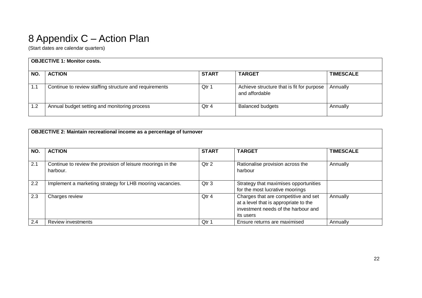## 8 Appendix C – Action Plan

(Start dates are calendar quarters)

|     | <b>OBJECTIVE 1: Monitor costs.</b>                     |              |                                                             |                  |  |  |  |  |
|-----|--------------------------------------------------------|--------------|-------------------------------------------------------------|------------------|--|--|--|--|
| NO. | <b>ACTION</b>                                          | <b>START</b> | <b>TARGET</b>                                               | <b>TIMESCALE</b> |  |  |  |  |
| 1.1 | Continue to review staffing structure and requirements | Qtr 1        | Achieve structure that is fit for purpose<br>and affordable | Annually         |  |  |  |  |
| 1.2 | Annual budget setting and monitoring process           | Qtr 4        | <b>Balanced budgets</b>                                     | Annually         |  |  |  |  |

<span id="page-21-0"></span>

|     | <b>OBJECTIVE 2: Maintain recreational income as a percentage of turnover</b> |              |                                                                                                                                   |                  |  |  |  |  |
|-----|------------------------------------------------------------------------------|--------------|-----------------------------------------------------------------------------------------------------------------------------------|------------------|--|--|--|--|
| NO. | <b>ACTION</b>                                                                | <b>START</b> | <b>TARGET</b>                                                                                                                     | <b>TIMESCALE</b> |  |  |  |  |
| 2.1 | Continue to review the provision of leisure moorings in the<br>harbour.      | Qtr 2        | Rationalise provision across the<br>harbour                                                                                       | Annually         |  |  |  |  |
| 2.2 | Implement a marketing strategy for LHB mooring vacancies.                    | Qtr 3        | Strategy that maximises opportunities<br>for the most lucrative moorings                                                          |                  |  |  |  |  |
| 2.3 | Charges review                                                               | Qtr 4        | Charges that are competitive and set<br>at a level that is appropriate to the<br>investment needs of the harbour and<br>its users | Annually         |  |  |  |  |
| 2.4 | <b>Review investments</b>                                                    | Otr 1        | Ensure returns are maximised                                                                                                      | Annually         |  |  |  |  |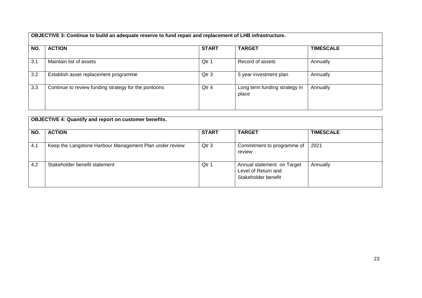**OBJECTIVE 3: Continue to build an adequate reserve to fund repair and replacement of LHB infrastructure.**

| NO. | <b>ACTION</b>                                        | <b>START</b> | <b>TARGET</b>                          | <b>TIMESCALE</b> |  |  |
|-----|------------------------------------------------------|--------------|----------------------------------------|------------------|--|--|
|     |                                                      |              |                                        |                  |  |  |
| 3.1 | Maintain list of assets                              | Qtr 1        | Record of assets                       | Annually         |  |  |
| 3.2 | Establish asset replacement programme                | Qtr 3        | 5 year investment plan                 | Annually         |  |  |
| 3.3 | Continue to review funding strategy for the pontoons | Qtr 4        | Long term funding strategy in<br>place | Annually         |  |  |

|     | <b>OBJECTIVE 4: Quantify and report on customer benefits.</b> |              |                                                                          |                  |  |  |
|-----|---------------------------------------------------------------|--------------|--------------------------------------------------------------------------|------------------|--|--|
| NO. | <b>ACTION</b>                                                 | <b>START</b> | <b>TARGET</b>                                                            | <b>TIMESCALE</b> |  |  |
| 4.1 | Keep the Langstone Harbour Management Plan under review       | Qtr 3        | Commitment to programme of<br>review                                     | 2021             |  |  |
| 4.2 | Stakeholder benefit statement                                 | Qtr 1        | Annual statement on Target<br>Level of Return and<br>Stakeholder benefit | Annually         |  |  |